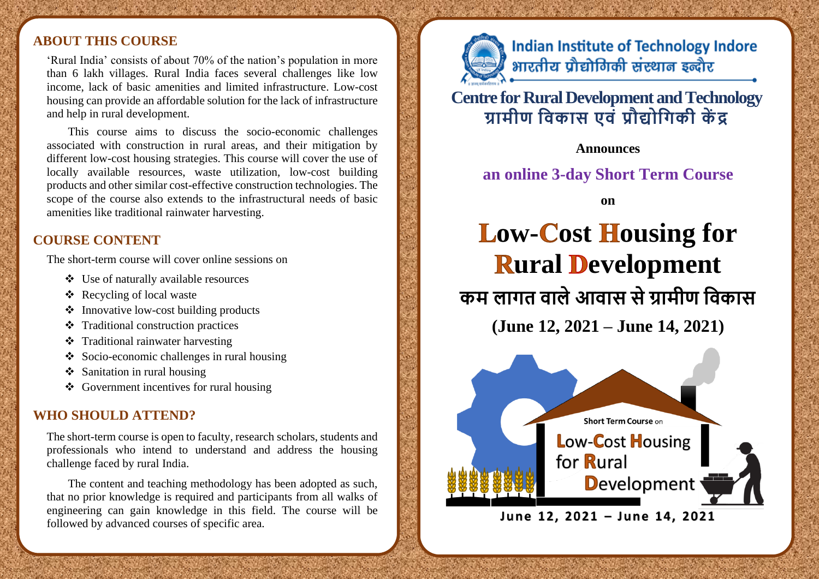#### **ABOUT THIS COURSE**

'Rural India' consists of about 70% of the nation's population in more than 6 lakh villages. Rural India faces several challenges like low income, lack of basic amenities and limited infrastructure. Low-cost housing can provide an affordable solution for the lack of infrastructure and help in rural development.

This course aims to discuss the socio-economic challenges associated with construction in rural areas, and their mitigation by different low-cost housing strategies. This course will cover the use of locally available resources, waste utilization, low-cost building products and other similar cost-effective construction technologies. The scope of the course also extends to the infrastructural needs of basic amenities like traditional rainwater harvesting.

### **COURSE CONTENT**

The short-term course will cover online sessions on

- ❖ Use of naturally available resources
- ❖ Recycling of local waste
- ❖ Innovative low-cost building products
- ❖ Traditional construction practices
- ❖ Traditional rainwater harvesting
- ❖ Socio-economic challenges in rural housing
- ❖ Sanitation in rural housing
- ❖ Government incentives for rural housing

#### **WHO SHOULD ATTEND?**

The short-term course is open to faculty, research scholars, students and professionals who intend to understand and address the housing challenge faced by rural India.

The content and teaching methodology has been adopted as such, that no prior knowledge is required and participants from all walks of engineering can gain knowledge in this field. The course will be followed by advanced courses of specific area.



**Indian Institute of Technology Indore** भारतीय प्रौद्योगिकी संस्थान इन्दौर

# **Centre for Rural Development and Technology ग्रामीण ववकास एवं प्रौद्योवगकी कें द्र**

**Announces** 

## **an online 3-day Short Term Course**

**on** 

**Low-Cost Housing for Rural Development कम लागत वालेआवास सेग्रामीण ववकास**

**(June 12, 2021 – June 14, 2021)**